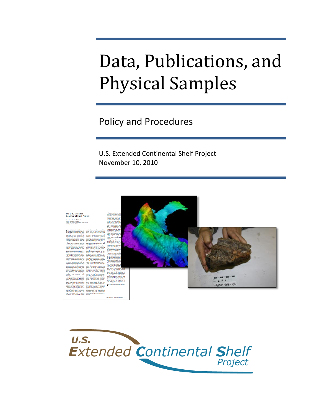# Data, Publications, and Physical Samples

Policy and Procedures

U.S. Extended Continental Shelf Project November 10, 2010



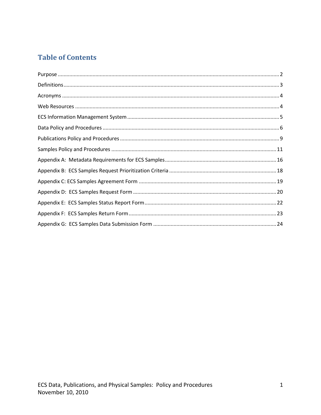# **Table of Contents**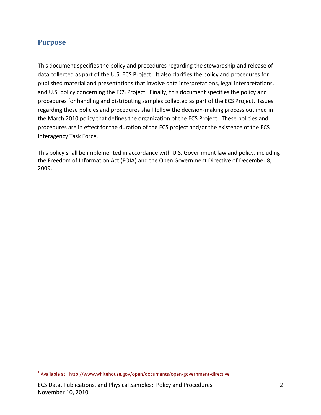## <span id="page-2-0"></span>**Purpose**

 $\overline{a}$ 

This document specifies the policy and procedures regarding the stewardship and release of data collected as part of the U.S. ECS Project. It also clarifies the policy and procedures for published material and presentations that involve data interpretations, legal interpretations, and U.S. policy concerning the ECS Project. Finally, this document specifies the policy and procedures for handling and distributing samples collected as part of the ECS Project. Issues regarding these policies and procedures shall follow the decision-making process outlined in the March 2010 policy that defines the organization of the ECS Project. These policies and procedures are in effect for the duration of the ECS project and/or the existence of the ECS Interagency Task Force.

This policy shall be implemented in accordance with U.S. Government law and policy, including the Freedom of Information Act (FOIA) and the Open Government Directive of December 8,  $2009.<sup>1</sup>$ 

<sup>&</sup>lt;sup>1</sup> Available at: http://www.whitehouse.gov/open/documents/open-government-directive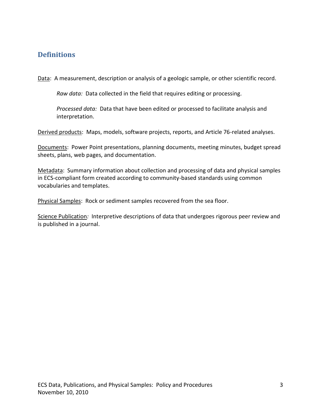## <span id="page-3-0"></span>**Definitions**

Data: A measurement, description or analysis of a geologic sample, or other scientific record.

*Raw data:* Data collected in the field that requires editing or processing.

*Processed data:* Data that have been edited or processed to facilitate analysis and interpretation.

Derived products: Maps, models, software projects, reports, and Article 76-related analyses.

Documents: Power Point presentations, planning documents, meeting minutes, budget spread sheets, plans, web pages, and documentation.

Metadata: Summary information about collection and processing of data and physical samples in ECS-compliant form created according to community-based standards using common vocabularies and templates.

Physical Samples: Rock or sediment samples recovered from the sea floor.

Science Publication*:* Interpretive descriptions of data that undergoes rigorous peer review and is published in a journal.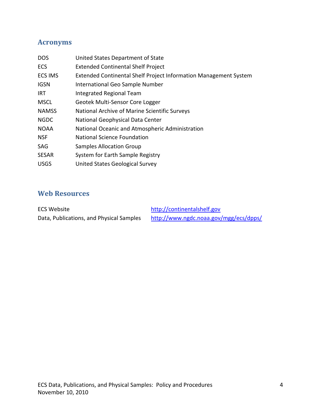# <span id="page-4-0"></span>**Acronyms**

| <b>DOS</b>     | United States Department of State                                |
|----------------|------------------------------------------------------------------|
| ECS            | <b>Extended Continental Shelf Project</b>                        |
| <b>ECS IMS</b> | Extended Continental Shelf Project Information Management System |
| <b>IGSN</b>    | International Geo Sample Number                                  |
| <b>IRT</b>     | Integrated Regional Team                                         |
| MSCL           | Geotek Multi-Sensor Core Logger                                  |
| <b>NAMSS</b>   | National Archive of Marine Scientific Surveys                    |
| <b>NGDC</b>    | National Geophysical Data Center                                 |
| <b>NOAA</b>    | National Oceanic and Atmospheric Administration                  |
| <b>NSF</b>     | <b>National Science Foundation</b>                               |
| SAG            | <b>Samples Allocation Group</b>                                  |
| <b>SESAR</b>   | System for Earth Sample Registry                                 |
| <b>USGS</b>    | United States Geological Survey                                  |

## <span id="page-4-1"></span>**Web Resources**

| <b>ECS Website</b>                       | http://continentalshelf.gov            |
|------------------------------------------|----------------------------------------|
| Data, Publications, and Physical Samples | http://www.ngdc.noaa.gov/mgg/ecs/dpps/ |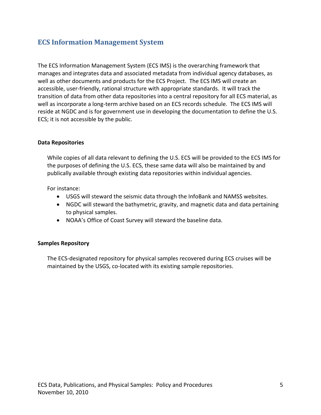## <span id="page-5-0"></span>**ECS Information Management System**

The ECS Information Management System (ECS IMS) is the overarching framework that manages and integrates data and associated metadata from individual agency databases, as well as other documents and products for the ECS Project. The ECS IMS will create an accessible, user-friendly, rational structure with appropriate standards. It will track the transition of data from other data repositories into a central repository for all ECS material, as well as incorporate a long-term archive based on an ECS records schedule. The ECS IMS will reside at NGDC and is for government use in developing the documentation to define the U.S. ECS; it is not accessible by the public.

#### **Data Repositories**

While copies of all data relevant to defining the U.S. ECS will be provided to the ECS IMS for the purposes of defining the U.S. ECS, these same data will also be maintained by and publically available through existing data repositories within individual agencies.

For instance:

- USGS will steward the seismic data through the InfoBank and NAMSS websites.
- NGDC will steward the bathymetric, gravity, and magnetic data and data pertaining to physical samples.
- NOAA's Office of Coast Survey will steward the baseline data.

#### **Samples Repository**

The ECS-designated repository for physical samples recovered during ECS cruises will be maintained by the USGS, co-located with its existing sample repositories.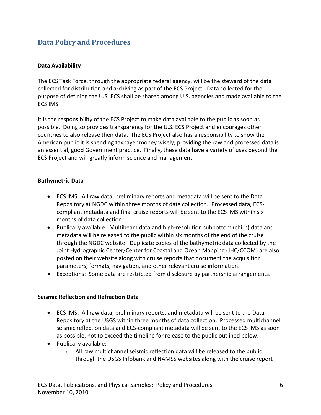## <span id="page-6-0"></span>**Data Policy and Procedures**

#### **Data Availability**

The ECS Task Force, through the appropriate federal agency, will be the steward of the data collected for distribution and archiving as part of the ECS Project. Data collected for the purpose of defining the U.S. ECS shall be shared among U.S. agencies and made available to the ECS IMS.

It is the responsibility of the ECS Project to make data available to the public as soon as possible. Doing so provides transparency for the U.S. ECS Project and encourages other countries to also release their data. The ECS Project also has a responsibility to show the American public it is spending taxpayer money wisely; providing the raw and processed data is an essential, good Government practice. Finally, these data have a variety of uses beyond the ECS Project and will greatly inform science and management.

#### **Bathymetric Data**

- ECS IMS: All raw data, preliminary reports and metadata will be sent to the Data Repository at NGDC within three months of data collection. Processed data, ECScompliant metadata and final cruise reports will be sent to the ECS IMS within six months of data collection.
- Publically available: Multibeam data and high-resolution subbottom (chirp) data and metadata will be released to the public within six months of the end of the cruise through the NGDC website. Duplicate copies of the bathymetric data collected by the Joint Hydrographic Center/Center for Coastal and Ocean Mapping (JHC/CCOM) are also posted on their website along with cruise reports that document the acquisition parameters, formats, navigation, and other relevant cruise information.
- Exceptions: Some data are restricted from disclosure by partnership arrangements.

#### **Seismic Reflection and Refraction Data**

- ECS IMS: All raw data, preliminary reports, and metadata will be sent to the Data Repository at the USGS within three months of data collection. Processed multichannel seismic reflection data and ECS-compliant metadata will be sent to the ECS IMS as soon as possible, not to exceed the timeline for release to the public outlined below.
- Publically available:
	- o All raw multichannel seismic reflection data will be released to the public through the USGS Infobank and NAMSS websites along with the cruise report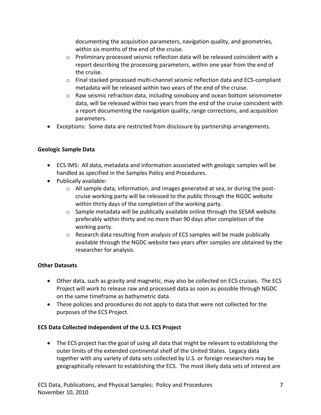documenting the acquisition parameters, navigation quality, and geometries, within six months of the end of the cruise.

- $\circ$  Preliminary processed seismic reflection data will be released coincident with a report describing the processing parameters, within one year from the end of the cruise.
- $\circ$  Final stacked processed multi-channel seismic reflection data and ECS-compliant metadata will be released within two years of the end of the cruise.
- $\circ$  Raw seismic refraction data, including sonobuoy and ocean bottom seismometer data, will be released within two years from the end of the cruise coincident with a report documenting the navigation quality, range corrections, and acquisition parameters.
- Exceptions: Some data are restricted from disclosure by partnership arrangements.

#### **Geologic Sample Data**

- ECS IMS: All data, metadata and information associated with geologic samples will be handled as specified in the Samples Policy and Procedures.
- Publically available:
	- $\circ$  All sample data, information, and images generated at sea, or during the postcruise working party will be released to the public through the NGDC website within thirty days of the completion of the working party.
	- $\circ$  Sample metadata will be publically available online through the SESAR website preferably within thirty and no more than 90 days after completion of the working party.
	- $\circ$  Research data resulting from analysis of ECS samples will be made publically available through the NGDC website two years after samples are obtained by the researcher for analysis.

#### **Other Datasets**

- Other data, such as gravity and magnetic, may also be collected on ECS cruises. The ECS Project will work to release raw and processed data as soon as possible through NGDC on the same timeframe as bathymetric data.
- These policies and procedures do not apply to data that were not collected for the purposes of the ECS Project.

#### **ECS Data Collected Independent of the U.S. ECS Project**

 The ECS project has the goal of using all data that might be relevant to establishing the outer limits of the extended continental shelf of the United States. Legacy data together with any variety of data sets collected by U.S. or foreign researchers may be geographically relevant to establishing the ECS. The most likely data sets of interest are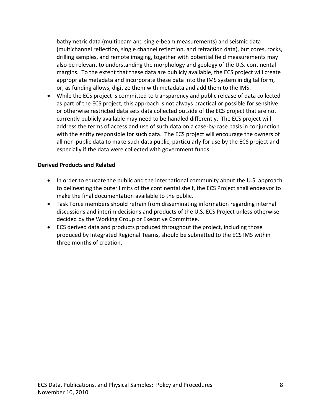bathymetric data (multibeam and single-beam measurements) and seismic data (multichannel reflection, single channel reflection, and refraction data), but cores, rocks, drilling samples, and remote imaging, together with potential field measurements may also be relevant to understanding the morphology and geology of the U.S. continental margins. To the extent that these data are publicly available, the ECS project will create appropriate metadata and incorporate these data into the IMS system in digital form, or, as funding allows, digitize them with metadata and add them to the IMS.

 While the ECS project is committed to transparency and public release of data collected as part of the ECS project, this approach is not always practical or possible for sensitive or otherwise restricted data sets data collected outside of the ECS project that are not currently publicly available may need to be handled differently. The ECS project will address the terms of access and use of such data on a case-by-case basis in conjunction with the entity responsible for such data. The ECS project will encourage the owners of all non-public data to make such data public, particularly for use by the ECS project and especially if the data were collected with government funds.

#### **Derived Products and Related**

- In order to educate the public and the international community about the U.S. approach to delineating the outer limits of the continental shelf, the ECS Project shall endeavor to make the final documentation available to the public.
- Task Force members should refrain from disseminating information regarding internal discussions and interim decisions and products of the U.S. ECS Project unless otherwise decided by the Working Group or Executive Committee.
- ECS derived data and products produced throughout the project, including those produced by Integrated Regional Teams, should be submitted to the ECS IMS within three months of creation.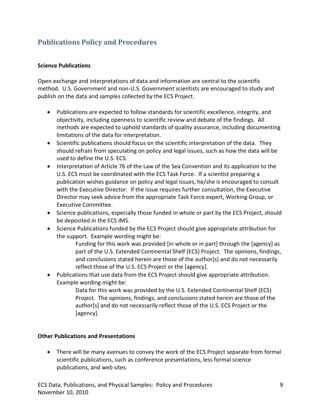# <span id="page-9-0"></span>**Publications Policy and Procedures**

#### **Science Publications**

Open exchange and interpretations of data and information are central to the scientific method. U.S. Government and non-U.S. Government scientists are encouraged to study and publish on the data and samples collected by the ECS Project.

- Publications are expected to follow standards for scientific excellence, integrity, and objectivity, including openness to scientific review and debate of the findings. All methods are expected to uphold standards of quality assurance, including documenting limitations of the data for interpretation.
- Scientific publications should focus on the scientific interpretation of the data. They should refrain from speculating on policy and legal issues, such as how the data will be used to define the U.S. ECS.
- Interpretation of Article 76 of the Law of the Sea Convention and its application to the U.S. ECS must be coordinated with the ECS Task Force. If a scientist preparing a publication wishes guidance on policy and legal issues, he/she is encouraged to consult with the Executive Director. If the issue requires further consultation, the Executive Director may seek advice from the appropriate Task Force expert, Working Group, or Executive Committee.
- Science publications, especially those funded in whole or part by the ECS Project, should be deposited in the ECS IMS.
- Science Publications funded by the ECS Project should give appropriate attribution for the support. Example wording might be:

Funding for this work was provided [in whole or in part] through the [agency] as part of the U.S. Extended Continental Shelf (ECS) Project. The opinions, findings, and conclusions stated herein are those of the author[s] and do not necessarily reflect those of the U.S. ECS Project or the [agency].

 Publications that use data from the ECS Project should give appropriate attribution. Example wording might be:

> Data for this work was provided by the U.S. Extended Continental Shelf (ECS) Project. The opinions, findings, and conclusions stated herein are those of the author[s] and do not necessarily reflect those of the U.S. ECS Project or the [agency].

#### **Other Publications and Presentations**

 There will be many avenues to convey the work of the ECS Project separate from formal scientific publications, such as conference presentations, less formal science publications, and web sites.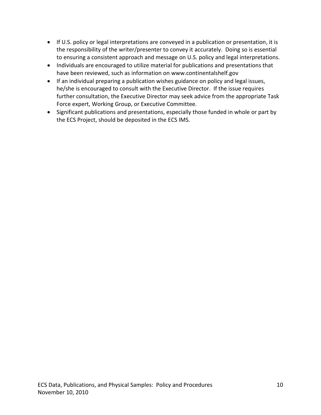- If U.S. policy or legal interpretations are conveyed in a publication or presentation, it is the responsibility of the writer/presenter to convey it accurately. Doing so is essential to ensuring a consistent approach and message on U.S. policy and legal interpretations.
- Individuals are encouraged to utilize material for publications and presentations that have been reviewed, such as information on www.continentalshelf.gov
- If an individual preparing a publication wishes guidance on policy and legal issues, he/she is encouraged to consult with the Executive Director. If the issue requires further consultation, the Executive Director may seek advice from the appropriate Task Force expert, Working Group, or Executive Committee.
- Significant publications and presentations, especially those funded in whole or part by the ECS Project, should be deposited in the ECS IMS.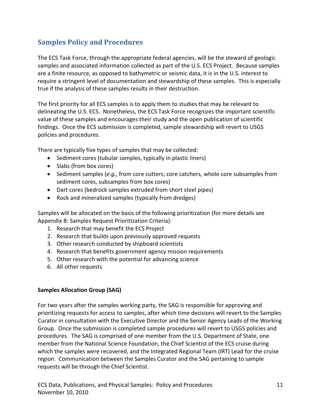## <span id="page-11-0"></span>**Samples Policy and Procedures**

The ECS Task Force, through the appropriate federal agencies, will be the steward of geologic samples and associated information collected as part of the U.S. ECS Project. Because samples are a finite resource, as opposed to bathymetric or seismic data, it is in the U.S. interest to require a stringent level of documentation and stewardship of these samples. This is especially true if the analysis of these samples results in their destruction.

The first priority for all ECS samples is to apply them to studies that may be relevant to delineating the U.S. ECS. Nonetheless, the ECS Task Force recognizes the important scientific value of these samples and encourages their study and the open publication of scientific findings. Once the ECS submission is completed, sample stewardship will revert to USGS policies and procedures.

There are typically five types of samples that may be collected:

- Sediment cores (tubular samples, typically in plastic liners)
- Slabs (from box cores)
- Sediment samples (*e.g.,* from core cutters, core catchers, whole core subsamples from sediment cores, subsamples from box cores)
- Dart cores (bedrock samples extruded from short steel pipes)
- Rock and mineralized samples (typically from dredges)

Samples will be allocated on the basis of the following prioritization (for more details see Appendix B: Samples Request Prioritization Criteria):

- 1. Research that may benefit the ECS Project
- 2. Research that builds upon previously approved requests
- 3. Other research conducted by shipboard scientists
- 4. Research that benefits government agency mission requirements
- 5. Other research with the potential for advancing science
- 6. All other requests

#### **Samples Allocation Group (SAG)**

For two years after the samples working party, the SAG is responsible for approving and prioritizing requests for access to samples, after which time decisions will revert to the Samples Curator in consultation with the Executive Director and the Senior Agency Leads of the Working Group. Once the submission is completed sample procedures will revert to USGS policies and procedures. The SAG is comprised of one member from the U.S. Department of State, one member from the National Science Foundation, the Chief Scientist of the ECS cruise during which the samples were recovered, and the Integrated Regional Team (IRT) Lead for the cruise region. Communication between the Samples Curator and the SAG pertaining to sample requests will be through the Chief Scientist.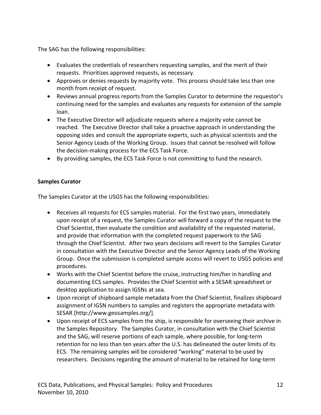The SAG has the following responsibilities:

- Evaluates the credentials of researchers requesting samples, and the merit of their requests. Prioritizes approved requests, as necessary.
- Approves or denies requests by majority vote. This process should take less than one month from receipt of request.
- Reviews annual progress reports from the Samples Curator to determine the requestor's continuing need for the samples and evaluates any requests for extension of the sample loan.
- The Executive Director will adjudicate requests where a majority vote cannot be reached. The Executive Director shall take a proactive approach in understanding the opposing sides and consult the appropriate experts, such as physical scientists and the Senior Agency Leads of the Working Group. Issues that cannot be resolved will follow the decision-making process for the ECS Task Force.
- By providing samples, the ECS Task Force is not committing to fund the research.

## **Samples Curator**

The Samples Curator at the USGS has the following responsibilities:

- Receives all requests for ECS samples material. For the first two years, immediately upon receipt of a request, the Samples Curator will forward a copy of the request to the Chief Scientist, then evaluate the condition and availability of the requested material, and provide that information with the completed request paperwork to the SAG through the Chief Scientist. After two years decisions will revert to the Samples Curator in consultation with the Executive Director and the Senior Agency Leads of the Working Group. Once the submission is completed sample access will revert to USGS policies and procedures.
- Works with the Chief Scientist before the cruise, instructing him/her in handling and documenting ECS samples. Provides the Chief Scientist with a SESAR spreadsheet or desktop application to assign IGSNs at sea.
- Upon receipt of shipboard sample metadata from the Chief Scientist, finalizes shipboard assignment of IGSN numbers to samples and registers the appropriate metadata with SESAR [http://www.geosamples.org/].
- Upon receipt of ECS samples from the ship, is responsible for overseeing their archive in the Samples Repository. The Samples Curator, in consultation with the Chief Scientist and the SAG, will reserve portions of each sample, where possible, for long-term retention for no less than ten years after the U.S. has delineated the outer limits of its ECS. The remaining samples will be considered "working" material to be used by researchers. Decisions regarding the amount of material to be retained for long-term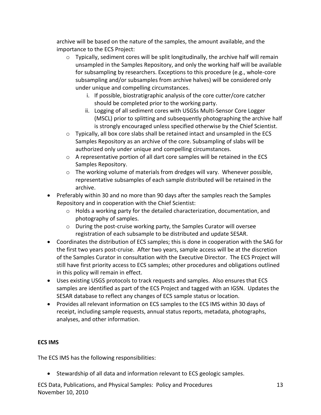archive will be based on the nature of the samples, the amount available, and the importance to the ECS Project:

- $\circ$  Typically, sediment cores will be split longitudinally, the archive half will remain unsampled in the Samples Repository, and only the working half will be available for subsampling by researchers. Exceptions to this procedure (e.g., whole-core subsampling and/or subsamples from archive halves) will be considered only under unique and compelling circumstances.
	- i. If possible, biostratigraphic analysis of the core cutter/core catcher should be completed prior to the working party.
	- ii. Logging of all sediment cores with USGSs Multi-Sensor Core Logger (MSCL) prior to splitting and subsequently photographing the archive half is strongly encouraged unless specified otherwise by the Chief Scientist.
- $\circ$  Typically, all box core slabs shall be retained intact and unsampled in the ECS Samples Repository as an archive of the core. Subsampling of slabs will be authorized only under unique and compelling circumstances.
- $\circ$  A representative portion of all dart core samples will be retained in the ECS Samples Repository.
- $\circ$  The working volume of materials from dredges will vary. Whenever possible, representative subsamples of each sample distributed will be retained in the archive.
- Preferably within 30 and no more than 90 days after the samples reach the Samples Repository and in cooperation with the Chief Scientist:
	- $\circ$  Holds a working party for the detailed characterization, documentation, and photography of samples.
	- o During the post-cruise working party, the Samples Curator will oversee registration of each subsample to be distributed and update SESAR.
- Coordinates the distribution of ECS samples; this is done in cooperation with the SAG for the first two years post-cruise. After two years, sample access will be at the discretion of the Samples Curator in consultation with the Executive Director. The ECS Project will still have first priority access to ECS samples; other procedures and obligations outlined in this policy will remain in effect.
- Uses existing USGS protocols to track requests and samples. Also ensures that ECS samples are identified as part of the ECS Project and tagged with an IGSN. Updates the SESAR database to reflect any changes of ECS sample status or location.
- Provides all relevant information on ECS samples to the ECS IMS within 30 days of receipt, including sample requests, annual status reports, metadata, photographs, analyses, and other information.

## **ECS IMS**

The ECS IMS has the following responsibilities:

• Stewardship of all data and information relevant to ECS geologic samples.

ECS Data, Publications, and Physical Samples: Policy and Procedures 13 November 10, 2010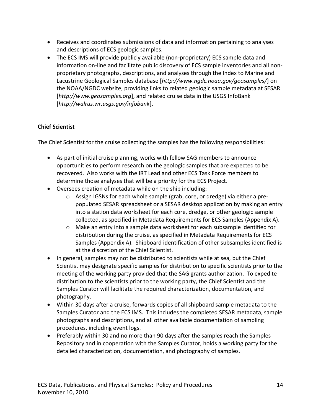- Receives and coordinates submissions of data and information pertaining to analyses and descriptions of ECS geologic samples.
- The ECS IMS will provide publicly available (non-proprietary) ECS sample data and information on-line and facilitate public discovery of ECS sample inventories and all nonproprietary photographs, descriptions, and analyses through the Index to Marine and Lacustrine Geological Samples database [*http://www.ngdc.noaa.gov/geosamples/*] on the NOAA/NGDC website, providing links to related geologic sample metadata at SESAR [*http://www.geosamples.org*], and related cruise data in the USGS InfoBank [*http://walrus.wr.usgs.gov/infobank*].

## **Chief Scientist**

The Chief Scientist for the cruise collecting the samples has the following responsibilities:

- As part of initial cruise planning, works with fellow SAG members to announce opportunities to perform research on the geologic samples that are expected to be recovered. Also works with the IRT Lead and other ECS Task Force members to determine those analyses that will be a priority for the ECS Project.
- Oversees creation of metadata while on the ship including:
	- o Assign IGSNs for each whole sample (grab, core, or dredge) via either a prepopulated SESAR spreadsheet or a SESAR desktop application by making an entry into a station data worksheet for each core, dredge, or other geologic sample collected, as specified in Metadata Requirements for ECS Samples (Appendix A).
	- o Make an entry into a sample data worksheet for each subsample identified for distribution during the cruise, as specified in Metadata Requirements for ECS Samples (Appendix A). Shipboard identification of other subsamples identified is at the discretion of the Chief Scientist.
- In general, samples may not be distributed to scientists while at sea, but the Chief Scientist may designate specific samples for distribution to specific scientists prior to the meeting of the working party provided that the SAG grants authorization. To expedite distribution to the scientists prior to the working party, the Chief Scientist and the Samples Curator will facilitate the required characterization, documentation, and photography.
- Within 30 days after a cruise, forwards copies of all shipboard sample metadata to the Samples Curator and the ECS IMS. This includes the completed SESAR metadata, sample photographs and descriptions, and all other available documentation of sampling procedures, including event logs.
- Preferably within 30 and no more than 90 days after the samples reach the Samples Repository and in cooperation with the Samples Curator, holds a working party for the detailed characterization, documentation, and photography of samples.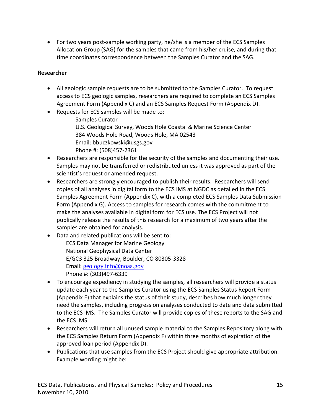For two years post-sample working party, he/she is a member of the ECS Samples Allocation Group (SAG) for the samples that came from his/her cruise, and during that time coordinates correspondence between the Samples Curator and the SAG.

## **Researcher**

- All geologic sample requests are to be submitted to the Samples Curator. To request access to ECS geologic samples, researchers are required to complete an ECS Samples Agreement Form (Appendix C) and an ECS Samples Request Form (Appendix D).
- Requests for ECS samples will be made to:

Samples Curator U.S. Geological Survey, Woods Hole Coastal & Marine Science Center 384 Woods Hole Road, Woods Hole, MA 02543 Email: bbuczkowski@usgs.gov Phone #: (508)457-2361

- Researchers are responsible for the security of the samples and documenting their use. Samples may not be transferred or redistributed unless it was approved as part of the scientist's request or amended request.
- Researchers are strongly encouraged to publish their results. Researchers will send copies of all analyses in digital form to the ECS IMS at NGDC as detailed in the ECS Samples Agreement Form (Appendix C), with a completed ECS Samples Data Submission Form (Appendix G). Access to samples for research comes with the commitment to make the analyses available in digital form for ECS use. The ECS Project will not publically release the results of this research for a maximum of two years after the samples are obtained for analysis.
- Data and related publications will be sent to: ECS Data Manager for Marine Geology National Geophysical Data Center E/GC3 325 Broadway, Boulder, CO 80305-3328 Email: [geology.info@noaa.gov](mailto:geology.info@noaa.gov) Phone #: (303)497-6339
- To encourage expediency in studying the samples, all researchers will provide a status update each year to the Samples Curator using the ECS Samples Status Report Form (Appendix E) that explains the status of their study, describes how much longer they need the samples, including progress on analyses conducted to date and data submitted to the ECS IMS. The Samples Curator will provide copies of these reports to the SAG and the ECS IMS.
- Researchers will return all unused sample material to the Samples Repository along with the ECS Samples Return Form (Appendix F) within three months of expiration of the approved loan period (Appendix D).
- Publications that use samples from the ECS Project should give appropriate attribution. Example wording might be: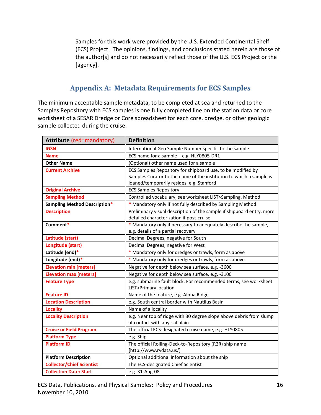Samples for this work were provided by the U.S. Extended Continental Shelf (ECS) Project. The opinions, findings, and conclusions stated herein are those of the author[s] and do not necessarily reflect those of the U.S. ECS Project or the [agency].

# **Appendix A: Metadata Requirements for ECS Samples**

<span id="page-16-0"></span>The minimum acceptable sample metadata, to be completed at sea and returned to the Samples Repository with ECS samples is one fully completed line on the station data or core worksheet of a SESAR Dredge or Core spreadsheet for each core, dredge, or other geologic sample collected during the cruise.

| <b>Attribute (red=mandatory)</b>    | <b>Definition</b>                                                                                                 |
|-------------------------------------|-------------------------------------------------------------------------------------------------------------------|
| <b>IGSN</b>                         | International Geo Sample Number specific to the sample                                                            |
| <b>Name</b>                         | ECS name for a sample - e.g. HLY0805-DR1                                                                          |
| <b>Other Name</b>                   | (Optional) other name used for a sample                                                                           |
| <b>Current Archive</b>              | ECS Samples Repository for shipboard use, to be modified by                                                       |
|                                     | Samples Curator to the name of the institution to which a sample is                                               |
|                                     | loaned/temporarily resides, e.g. Stanford                                                                         |
| <b>Original Archive</b>             | <b>ECS Samples Repository</b>                                                                                     |
| <b>Sampling Method</b>              | Controlled vocabulary, see worksheet LIST>Sampling. Method                                                        |
| <b>Sampling Method Description*</b> | * Mandatory only if not fully described by Sampling Method                                                        |
| <b>Description</b>                  | Preliminary visual description of the sample if shipboard entry, more<br>detailed characterization if post-cruise |
| Comment*                            | * Mandatory only if necessary to adequately describe the sample,                                                  |
|                                     | e.g. details of a partial recovery                                                                                |
| Latitude (start)                    | Decimal Degrees, negative for South                                                                               |
| Longitude (start)                   | Decimal Degrees, negative for West                                                                                |
| Latitude (end)*                     | * Mandatory only for dredges or trawls, form as above                                                             |
| Longitude (end)*                    | * Mandatory only for dredges or trawls, form as above                                                             |
| <b>Elevation min [meters]</b>       | Negative for depth below sea surface, e.g. -3600                                                                  |
| <b>Elevation max [meters]</b>       | Negative for depth below sea surface, e.g. -3100                                                                  |
| <b>Feature Type</b>                 | e.g. submarine fault block. For recommended terms, see worksheet<br>LIST>Primary location                         |
| <b>Feature ID</b>                   | Name of the feature, e.g. Alpha Ridge                                                                             |
| <b>Location Description</b>         | e.g. South central border with Nautilus Basin                                                                     |
| <b>Locality</b>                     | Name of a locality                                                                                                |
| <b>Locality Description</b>         | e.g. Near top of ridge with 30 degree slope above debris from slump                                               |
|                                     | at contact with abyssal plain                                                                                     |
| <b>Cruise or Field Program</b>      | The official ECS-designated cruise name, e.g. HLY0805                                                             |
| <b>Platform Type</b>                | e.g. Ship                                                                                                         |
| <b>Platform ID</b>                  | The official Rolling-Deck-to-Repository (R2R) ship name                                                           |
|                                     | [http://www.rvdata.us/]                                                                                           |
| <b>Platform Description</b>         | Optional additional information about the ship                                                                    |
| <b>Collector/Chief Scientist</b>    | The ECS-designated Chief Scientist                                                                                |
| <b>Collection Date: Start</b>       | e.g. 31-Aug-08                                                                                                    |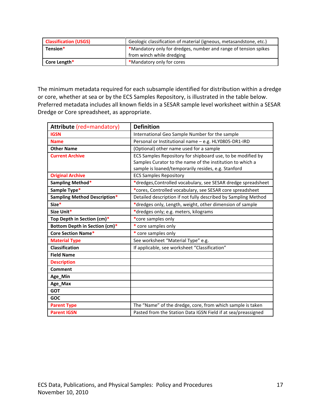| <b>Classification (USGS)</b> | Geologic classification of material (igneous, metasandstone, etc.) |  |
|------------------------------|--------------------------------------------------------------------|--|
| Tension*                     | *Mandatory only for dredges, number and range of tension spikes    |  |
|                              | from winch while dredging                                          |  |
| Core Length*                 | *Mandatory only for cores                                          |  |

The minimum metadata required for each subsample identified for distribution within a dredge or core, whether at sea or by the ECS Samples Repository, is illustrated in the table below. Preferred metadata includes all known fields in a SESAR sample level worksheet within a SESAR Dredge or Core spreadsheet, as appropriate.

| <b>Attribute (red=mandatory)</b>    | <b>Definition</b>                                              |
|-------------------------------------|----------------------------------------------------------------|
| <b>IGSN</b>                         | International Geo Sample Number for the sample                 |
| <b>Name</b>                         | Personal or Institutional name - e.g. HLY0805-DR1-IRD          |
| <b>Other Name</b>                   | (Optional) other name used for a sample                        |
| <b>Current Archive</b>              | ECS Samples Repository for shipboard use, to be modified by    |
|                                     | Samples Curator to the name of the institution to which a      |
|                                     | sample is loaned/temporarily resides, e.g. Stanford            |
| <b>Original Archive</b>             | <b>ECS Samples Repository</b>                                  |
| Sampling Method*                    | *dredges, Controlled vocabulary, see SESAR dredge spreadsheet  |
| Sample Type*                        | *cores, Controlled vocabulary, see SESAR core spreadsheet      |
| <b>Sampling Method Description*</b> | Detailed description if not fully described by Sampling Method |
| Size*                               | *dredges only, Length, weight, other dimension of sample       |
| Size Unit*                          | *dredges only; e.g. meters, kilograms                          |
| Top Depth in Section (cm)*          | *core samples only                                             |
| Bottom Depth in Section (cm)*       | * core samples only                                            |
| Core Section Name*                  | * core samples only                                            |
| <b>Material Type</b>                | See worksheet "Material Type" e.g.                             |
| <b>Classification</b>               | If applicable, see worksheet "Classification"                  |
| <b>Field Name</b>                   |                                                                |
| <b>Description</b>                  |                                                                |
| <b>Comment</b>                      |                                                                |
| Age_Min                             |                                                                |
| Age_Max                             |                                                                |
| <b>GOT</b>                          |                                                                |
| GOC                                 |                                                                |
| <b>Parent Type</b>                  | The "Name" of the dredge, core, from which sample is taken     |
| <b>Parent IGSN</b>                  | Pasted from the Station Data IGSN Field if at sea/preassigned  |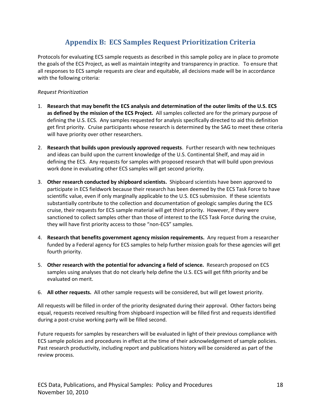# **Appendix B: ECS Samples Request Prioritization Criteria**

<span id="page-18-0"></span>Protocols for evaluating ECS sample requests as described in this sample policy are in place to promote the goals of the ECS Project, as well as maintain integrity and transparency in practice. To ensure that all responses to ECS sample requests are clear and equitable, all decisions made will be in accordance with the following criteria:

#### *Request Prioritization*

- 1. **Research that may benefit the ECS analysis and determination of the outer limits of the U.S. ECS as defined by the mission of the ECS Project.** All samples collected are for the primary purpose of defining the U.S. ECS. Any samples requested for analysis specifically directed to aid this definition get first priority. Cruise participants whose research is determined by the SAG to meet these criteria will have priority over other researchers.
- 2. **Research that builds upon previously approved requests**. Further research with new techniques and ideas can build upon the current knowledge of the U.S. Continental Shelf, and may aid in defining the ECS. Any requests for samples with proposed research that will build upon previous work done in evaluating other ECS samples will get second priority.
- 3. **Other research conducted by shipboard scientists.** Shipboard scientists have been approved to participate in ECS fieldwork because their research has been deemed by the ECS Task Force to have scientific value, even if only marginally applicable to the U.S. ECS submission. If these scientists substantially contribute to the collection and documentation of geologic samples during the ECS cruise, their requests for ECS sample material will get third priority. However, if they were sanctioned to collect samples other than those of interest to the ECS Task Force during the cruise, they will have first priority access to those "non-ECS" samples.
- 4. **Research that benefits government agency mission requirements.** Any request from a researcher funded by a Federal agency for ECS samples to help further mission goals for these agencies will get fourth priority.
- 5. **Other research with the potential for advancing a field of science.** Research proposed on ECS samples using analyses that do not clearly help define the U.S. ECS will get fifth priority and be evaluated on merit.
- 6. **All other requests.** All other sample requests will be considered, but will get lowest priority.

All requests will be filled in order of the priority designated during their approval. Other factors being equal, requests received resulting from shipboard inspection will be filled first and requests identified during a post-cruise working party will be filled second.

Future requests for samples by researchers will be evaluated in light of their previous compliance with ECS sample policies and procedures in effect at the time of their acknowledgement of sample policies. Past research productivity, including report and publications history will be considered as part of the review process.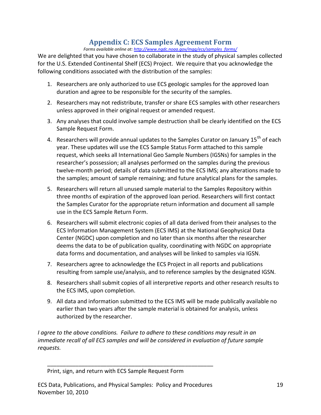# **Appendix C: ECS Samples Agreement Form**

#### *Forms available online at[: http://www.ngdc.noaa.gov/mgg/ecs/samples\\_forms/](http://www.ngdc.noaa.gov/mgg/ecs/samples_forms/)*

<span id="page-19-0"></span>We are delighted that you have chosen to collaborate in the study of physical samples collected for the U.S. Extended Continental Shelf (ECS) Project. We require that you acknowledge the following conditions associated with the distribution of the samples:

- 1. Researchers are only authorized to use ECS geologic samples for the approved loan duration and agree to be responsible for the security of the samples.
- 2. Researchers may not redistribute, transfer or share ECS samples with other researchers unless approved in their original request or amended request.
- 3. Any analyses that could involve sample destruction shall be clearly identified on the ECS Sample Request Form.
- 4. Researchers will provide annual updates to the Samples Curator on January  $15<sup>th</sup>$  of each year. These updates will use the ECS Sample Status Form attached to this sample request, which seeks all International Geo Sample Numbers (IGSNs) for samples in the researcher's possession; all analyses performed on the samples during the previous twelve-month period; details of data submitted to the ECS IMS; any alterations made to the samples; amount of sample remaining; and future analytical plans for the samples.
- 5. Researchers will return all unused sample material to the Samples Repository within three months of expiration of the approved loan period. Researchers will first contact the Samples Curator for the appropriate return information and document all sample use in the ECS Sample Return Form.
- 6. Researchers will submit electronic copies of all data derived from their analyses to the ECS Information Management System (ECS IMS) at the National Geophysical Data Center (NGDC) upon completion and no later than six months after the researcher deems the data to be of publication quality, coordinating with NGDC on appropriate data forms and documentation, and analyses will be linked to samples via IGSN.
- 7. Researchers agree to acknowledge the ECS Project in all reports and publications resulting from sample use/analysis, and to reference samples by the designated IGSN.
- 8. Researchers shall submit copies of all interpretive reports and other research results to the ECS IMS, upon completion.
- 9. All data and information submitted to the ECS IMS will be made publically available no earlier than two years after the sample material is obtained for analysis, unless authorized by the researcher.

*I agree to the above conditions. Failure to adhere to these conditions may result in an immediate recall of all ECS samples and will be considered in evaluation of future sample requests.*

\_\_\_\_\_\_\_\_\_\_\_\_\_\_\_\_\_\_\_\_\_\_\_\_\_\_\_\_\_\_\_\_\_\_\_\_\_\_\_\_\_\_\_\_\_\_\_\_\_\_\_\_\_

Print, sign, and return with ECS Sample Request Form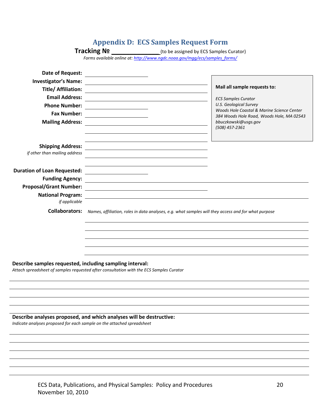<span id="page-20-0"></span>

|                                                           | Tracking No                                            | rippendix D. Hob bampies nequest form<br>Forms available online at: http://www.ngdc.noaa.gov/mgg/ecs/samples_forms/ | (to be assigned by ECS Samples Curator)                                                             |
|-----------------------------------------------------------|--------------------------------------------------------|---------------------------------------------------------------------------------------------------------------------|-----------------------------------------------------------------------------------------------------|
| Date of Request:                                          |                                                        |                                                                                                                     |                                                                                                     |
| <b>Investigator's Name:</b>                               |                                                        |                                                                                                                     |                                                                                                     |
| <b>Title/ Affiliation:</b>                                |                                                        |                                                                                                                     | Mail all sample requests to:                                                                        |
| <b>Email Address:</b>                                     |                                                        |                                                                                                                     | <b>ECS Samples Curator</b>                                                                          |
| <b>Phone Number:</b>                                      |                                                        |                                                                                                                     | <b>U.S. Geological Survey</b><br>Woods Hole Coastal & Marine Science Center                         |
| <b>Fax Number:</b>                                        |                                                        |                                                                                                                     | 384 Woods Hole Road, Woods Hole, MA 02543                                                           |
| <b>Mailing Address:</b>                                   |                                                        |                                                                                                                     | bbuczkowski@usgs.gov<br>(508) 457-2361                                                              |
| <b>Shipping Address:</b><br>if other than mailing address |                                                        |                                                                                                                     |                                                                                                     |
| <b>Duration of Loan Requested:</b>                        | <u> 1980 - Jan Samuel Barbara, politik a politik (</u> |                                                                                                                     |                                                                                                     |
| <b>Funding Agency:</b>                                    |                                                        |                                                                                                                     |                                                                                                     |
| <b>Proposal/Grant Number:</b>                             |                                                        |                                                                                                                     |                                                                                                     |
| <b>National Program:</b><br>if applicable                 |                                                        |                                                                                                                     |                                                                                                     |
| <b>Collaborators:</b>                                     |                                                        |                                                                                                                     | Names, affiliation, roles in data analyses, e.g. what samples will they access and for what purpose |
|                                                           |                                                        |                                                                                                                     |                                                                                                     |
|                                                           |                                                        |                                                                                                                     |                                                                                                     |
|                                                           |                                                        |                                                                                                                     |                                                                                                     |
|                                                           |                                                        |                                                                                                                     |                                                                                                     |

**Appendix D: ECS Samples Request Form**

#### **Describe samples requested, including sampling interval:**

*Attach spreadsheet of samples requested after consultation with the ECS Samples Curator*

#### **Describe analyses proposed, and which analyses will be destructive:**

*Indicate analyses proposed for each sample on the attached spreadsheet*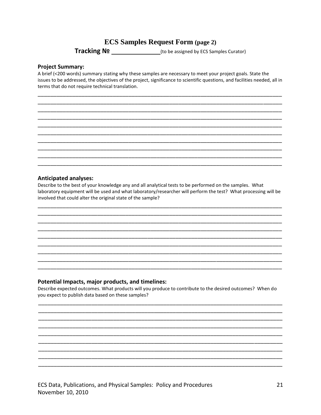## **ECS Samples Request Form (page 2)**

Tracking Nº \_\_\_\_\_\_\_\_\_\_\_\_\_\_\_\_\_\_(to be assigned by ECS Samples Curator)

#### **Project Summary:**

A brief (<200 words) summary stating why these samples are necessary to meet your project goals. State the issues to be addressed, the objectives of the project, significance to scientific questions, and facilities needed, all in terms that do not require technical translation.

#### **Anticipated analyses:**

Describe to the best of your knowledge any and all analytical tests to be performed on the samples. What laboratory equipment will be used and what laboratory/researcher will perform the test? What processing will be involved that could alter the original state of the sample?

#### Potential Impacts, major products, and timelines:

Describe expected outcomes. What products will you produce to contribute to the desired outcomes? When do you expect to publish data based on these samples?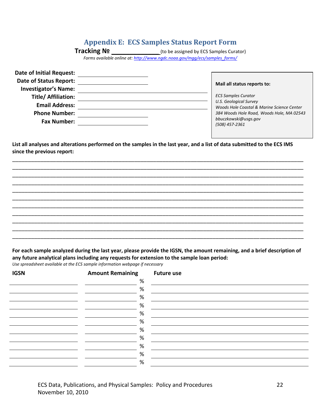## **Appendix E: ECS Samples Status Report Form**

<span id="page-22-0"></span>Tracking Nº \_\_\_\_\_\_\_\_\_\_\_\_\_\_\_\_\_\_\_\_(to be assigned by ECS Samples Curator) *Forms available online at[: http://www.ngdc.noaa.gov/mgg/ecs/samples\\_forms/](http://www.ngdc.noaa.gov/mgg/ecs/samples_forms/)*

| Date of Initial Request:    |                                            |
|-----------------------------|--------------------------------------------|
|                             |                                            |
| Date of Status Report:      | Mail all status reports to:                |
| <b>Investigator's Name:</b> |                                            |
| <b>Title/ Affiliation:</b>  | <b>ECS Samples Curator</b>                 |
| <b>Email Address:</b>       | <b>U.S. Geological Survey</b>              |
|                             | Woods Hole Coastal & Marine Science Center |
| <b>Phone Number:</b>        | 384 Woods Hole Road, Woods Hole, MA 02543  |
| <b>Fax Number:</b>          | bbuczkowski@usgs.gov                       |
|                             | (508) 457-2361                             |
|                             |                                            |

**List all analyses and alterations performed on the samples in the last year, and a list of data submitted to the ECS IMS since the previous report:**

\_\_\_\_\_\_\_\_\_\_\_\_\_\_\_\_\_\_\_\_\_\_\_\_\_\_\_\_\_\_\_\_\_\_\_\_\_\_\_\_\_\_\_\_\_\_\_\_\_\_\_\_\_\_\_\_\_\_\_\_\_\_\_\_\_\_\_\_\_\_\_\_\_\_\_\_\_\_\_\_\_\_\_\_\_\_\_\_\_\_\_\_\_ \_\_\_\_\_\_\_\_\_\_\_\_\_\_\_\_\_\_\_\_\_\_\_\_\_\_\_\_\_\_\_\_\_\_\_\_\_\_\_\_\_\_\_\_\_\_\_\_\_\_\_\_\_\_\_\_\_\_\_\_\_\_\_\_\_\_\_\_\_\_\_\_\_\_\_\_\_\_\_\_\_\_\_\_\_\_\_\_\_\_\_\_\_ \_\_\_\_\_\_\_\_\_\_\_\_\_\_\_\_\_\_\_\_\_\_\_\_\_\_\_\_\_\_\_\_\_\_\_\_\_\_\_\_\_\_\_\_\_\_\_\_\_\_\_\_\_\_\_\_\_\_\_\_\_\_\_\_\_\_\_\_\_\_\_\_\_\_\_\_\_\_\_\_\_\_\_\_\_\_\_\_\_\_\_\_\_ \_\_\_\_\_\_\_\_\_\_\_\_\_\_\_\_\_\_\_\_\_\_\_\_\_\_\_\_\_\_\_\_\_\_\_\_\_\_\_\_\_\_\_\_\_\_\_\_\_\_\_\_\_\_\_\_\_\_\_\_\_\_\_\_\_\_\_\_\_\_\_\_\_\_\_\_\_\_\_\_\_\_\_\_\_\_\_\_\_\_\_\_\_ \_\_\_\_\_\_\_\_\_\_\_\_\_\_\_\_\_\_\_\_\_\_\_\_\_\_\_\_\_\_\_\_\_\_\_\_\_\_\_\_\_\_\_\_\_\_\_\_\_\_\_\_\_\_\_\_\_\_\_\_\_\_\_\_\_\_\_\_\_\_\_\_\_\_\_\_\_\_\_\_\_\_\_\_\_\_\_\_\_\_\_\_\_ \_\_\_\_\_\_\_\_\_\_\_\_\_\_\_\_\_\_\_\_\_\_\_\_\_\_\_\_\_\_\_\_\_\_\_\_\_\_\_\_\_\_\_\_\_\_\_\_\_\_\_\_\_\_\_\_\_\_\_\_\_\_\_\_\_\_\_\_\_\_\_\_\_\_\_\_\_\_\_\_\_\_\_\_\_\_\_\_\_\_\_\_\_ \_\_\_\_\_\_\_\_\_\_\_\_\_\_\_\_\_\_\_\_\_\_\_\_\_\_\_\_\_\_\_\_\_\_\_\_\_\_\_\_\_\_\_\_\_\_\_\_\_\_\_\_\_\_\_\_\_\_\_\_\_\_\_\_\_\_\_\_\_\_\_\_\_\_\_\_\_\_\_\_\_\_\_\_\_\_\_\_\_\_\_\_\_ \_\_\_\_\_\_\_\_\_\_\_\_\_\_\_\_\_\_\_\_\_\_\_\_\_\_\_\_\_\_\_\_\_\_\_\_\_\_\_\_\_\_\_\_\_\_\_\_\_\_\_\_\_\_\_\_\_\_\_\_\_\_\_\_\_\_\_\_\_\_\_\_\_\_\_\_\_\_\_\_\_\_\_\_\_\_\_\_\_\_\_\_\_ \_\_\_\_\_\_\_\_\_\_\_\_\_\_\_\_\_\_\_\_\_\_\_\_\_\_\_\_\_\_\_\_\_\_\_\_\_\_\_\_\_\_\_\_\_\_\_\_\_\_\_\_\_\_\_\_\_\_\_\_\_\_\_\_\_\_\_\_\_\_\_\_\_\_\_\_\_\_\_\_\_\_\_\_\_\_\_\_\_\_\_\_\_ \_\_\_\_\_\_\_\_\_\_\_\_\_\_\_\_\_\_\_\_\_\_\_\_\_\_\_\_\_\_\_\_\_\_\_\_\_\_\_\_\_\_\_\_\_\_\_\_\_\_\_\_\_\_\_\_\_\_\_\_\_\_\_\_\_\_\_\_\_\_\_\_\_\_\_\_\_\_\_\_\_\_\_\_\_\_\_\_\_\_\_\_\_ \_\_\_\_\_\_\_\_\_\_\_\_\_\_\_\_\_\_\_\_\_\_\_\_\_\_\_\_\_\_\_\_\_\_\_\_\_\_\_\_\_\_\_\_\_\_\_\_\_\_\_\_\_\_\_\_\_\_\_\_\_\_\_\_\_\_\_\_\_\_\_\_\_\_\_\_\_\_\_\_\_\_\_\_\_\_\_\_\_\_\_\_\_

**For each sample analyzed during the last year, please provide the IGSN, the amount remaining, and a brief description of any future analytical plans including any requests for extension to the sample loan period:**

*Use spreadsheet available at the ECS sample information webpage if necessary*

| <b>IGSN</b> | <b>Amount Remaining</b> | <b>Future use</b> |
|-------------|-------------------------|-------------------|
|             | %                       |                   |
|             | %                       |                   |
|             | %                       |                   |
|             | %                       |                   |
|             | %                       |                   |
|             | %                       |                   |
|             | %                       |                   |
|             | %                       |                   |
|             | %                       |                   |
|             | %                       |                   |
|             | %                       |                   |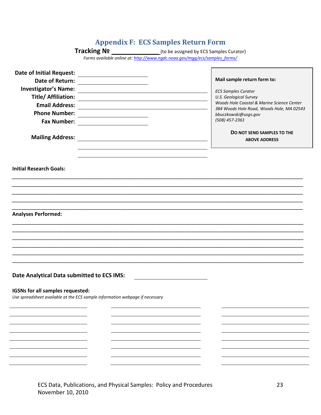<span id="page-23-0"></span>

|                                                                                                                                                                                          | <b>Appendix F: ECS Samples Return Form</b>                                                                                                                                                                                                                    |
|------------------------------------------------------------------------------------------------------------------------------------------------------------------------------------------|---------------------------------------------------------------------------------------------------------------------------------------------------------------------------------------------------------------------------------------------------------------|
|                                                                                                                                                                                          | Forms available online at: http://www.ngdc.noaa.gov/mgg/ecs/samples_forms/                                                                                                                                                                                    |
| Date of Initial Request:<br><u> El antiga de la contenentación de la contenentación de la contenentación de la contenentación de la contene</u><br>Date of Return:<br><b>Fax Number:</b> | Mail sample return form to:<br><b>ECS Samples Curator</b><br><b>U.S. Geological Survey</b><br>Woods Hole Coastal & Marine Science Center<br>384 Woods Hole Road, Woods Hole, MA 02543<br>bbuczkowski@usgs.gov<br>(508) 457-2361<br>DO NOT SEND SAMPLES TO THE |
| <b>Mailing Address:</b>                                                                                                                                                                  | <b>ABOVE ADDRESS</b>                                                                                                                                                                                                                                          |
| <b>Initial Research Goals:</b>                                                                                                                                                           |                                                                                                                                                                                                                                                               |
|                                                                                                                                                                                          |                                                                                                                                                                                                                                                               |
| <b>Analyses Performed:</b>                                                                                                                                                               |                                                                                                                                                                                                                                                               |
| Date Analytical Data submitted to ECS IMS:                                                                                                                                               |                                                                                                                                                                                                                                                               |
| IGSNs for all samples requested:<br>Use spreadsheet available at the ECS sample information webpage if necessary                                                                         |                                                                                                                                                                                                                                                               |
|                                                                                                                                                                                          |                                                                                                                                                                                                                                                               |
|                                                                                                                                                                                          |                                                                                                                                                                                                                                                               |
|                                                                                                                                                                                          |                                                                                                                                                                                                                                                               |
|                                                                                                                                                                                          |                                                                                                                                                                                                                                                               |
|                                                                                                                                                                                          |                                                                                                                                                                                                                                                               |
|                                                                                                                                                                                          |                                                                                                                                                                                                                                                               |
|                                                                                                                                                                                          |                                                                                                                                                                                                                                                               |
|                                                                                                                                                                                          |                                                                                                                                                                                                                                                               |

## ECS Data, Publications, and Physical Samples: Policy and Procedures 23 November 10, 2010

J.